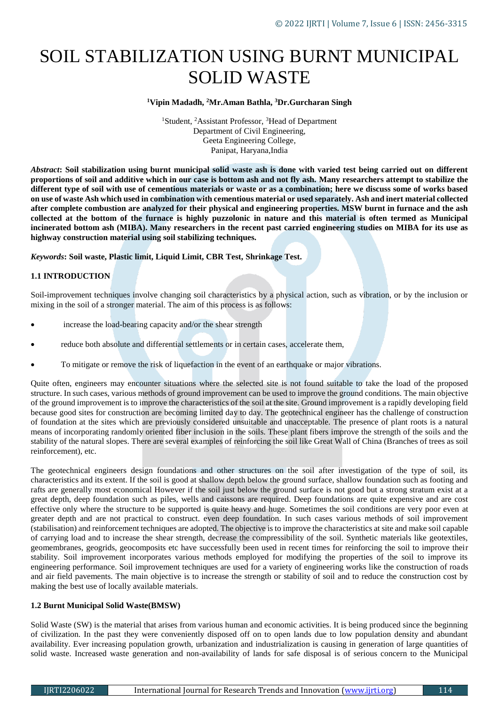# SOIL STABILIZATION USING BURNT MUNICIPAL SOLID WASTE

#### **<sup>1</sup>Vipin Madadh, <sup>2</sup>Mr.Aman Bathla, <sup>3</sup>Dr.Gurcharan Singh**

<sup>1</sup>Student, <sup>2</sup>Assistant Professor, <sup>3</sup>Head of Department Department of Civil Engineering, Geeta Engineering College, Panipat, Haryana,India

*Abstract***: Soil stabilization using burnt municipal solid waste ash is done with varied test being carried out on different proportions of soil and additive which in our case is bottom ash and not fly ash. Many researchers attempt to stabilize the different type of soil with use of cementious materials or waste or as a combination; here we discuss some of works based on use of waste Ash which used in combination with cementious material or used separately. Ash and inert material collected after complete combustion are analyzed for their physical and engineering properties. MSW burnt in furnace and the ash collected at the bottom of the furnace is highly puzzolonic in nature and this material is often termed as Municipal incinerated bottom ash (MIBA). Many researchers in the recent past carried engineering studies on MIBA for its use as highway construction material using soil stabilizing techniques.**

*Keywords***: Soil waste, Plastic limit, Liquid Limit, CBR Test, Shrinkage Test.**

## **1.1 INTRODUCTION**

Soil-improvement techniques involve changing soil characteristics by a physical action, such as vibration, or by the inclusion or mixing in the soil of a stronger material. The aim of this process is as follows:

- increase the load-bearing capacity and/or the shear strength
- reduce both absolute and differential settlements or in certain cases, accelerate them,
- To mitigate or remove the risk of liquefaction in the event of an earthquake or major vibrations.

Quite often, engineers may encounter situations where the selected site is not found suitable to take the load of the proposed structure. In such cases, various methods of ground improvement can be used to improve the ground conditions. The main objective of the ground improvement is to improve the characteristics of the soil at the site. Ground improvement is a rapidly developing field because good sites for construction are becoming limited day to day. The geotechnical engineer has the challenge of construction of foundation at the sites which are previously considered unsuitable and unacceptable. The presence of plant roots is a natural means of incorporating randomly oriented fiber inclusion in the soils. These plant fibers improve the strength of the soils and the stability of the natural slopes. There are several examples of reinforcing the soil like Great Wall of China (Branches of trees as soil reinforcement), etc.

The geotechnical engineers design foundations and other structures on the soil after investigation of the type of soil, its characteristics and its extent. If the soil is good at shallow depth below the ground surface, shallow foundation such as footing and rafts are generally most economical However if the soil just below the ground surface is not good but a strong stratum exist at a great depth, deep foundation such as piles, wells and caissons are required. Deep foundations are quite expensive and are cost effective only where the structure to be supported is quite heavy and huge. Sometimes the soil conditions are very poor even at greater depth and are not practical to construct. even deep foundation. In such cases various methods of soil improvement (stabilisation) and reinforcement techniques are adopted. The objective is to improve the characteristics at site and make soil capable of carrying load and to increase the shear strength, decrease the compressibility of the soil. Synthetic materials like geotextiles, geomembranes, geogrids, geocomposits etc have successfully been used in recent times for reinforcing the soil to improve their stability. Soil improvement incorporates various methods employed for modifying the properties of the soil to improve its engineering performance. Soil improvement techniques are used for a variety of engineering works like the construction of roads and air field pavements. The main objective is to increase the strength or stability of soil and to reduce the construction cost by making the best use of locally available materials.

### **1.2 Burnt Municipal Solid Waste(BMSW)**

Solid Waste (SW) is the material that arises from various human and economic activities. It is being produced since the beginning of civilization. In the past they were conveniently disposed off on to open lands due to low population density and abundant availability. Ever increasing population growth, urbanization and industrialization is causing in generation of large quantities of solid waste. Increased waste generation and non-availability of lands for safe disposal is of serious concern to the Municipal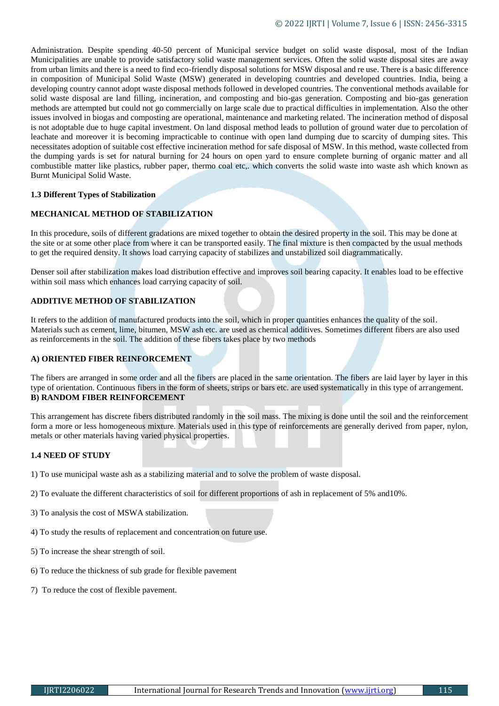Administration. Despite spending 40-50 percent of Municipal service budget on solid waste disposal, most of the Indian Municipalities are unable to provide satisfactory solid waste management services. Often the solid waste disposal sites are away from urban limits and there is a need to find eco-friendly disposal solutions for MSW disposal and re use. There is a basic difference in composition of Municipal Solid Waste (MSW) generated in developing countries and developed countries. India, being a developing country cannot adopt waste disposal methods followed in developed countries. The conventional methods available for solid waste disposal are land filling, incineration, and composting and bio-gas generation. Composting and bio-gas generation methods are attempted but could not go commercially on large scale due to practical difficulties in implementation. Also the other issues involved in biogas and composting are operational, maintenance and marketing related. The incineration method of disposal is not adoptable due to huge capital investment. On land disposal method leads to pollution of ground water due to percolation of leachate and moreover it is becoming impracticable to continue with open land dumping due to scarcity of dumping sites. This necessitates adoption of suitable cost effective incineration method for safe disposal of MSW. In this method, waste collected from the dumping yards is set for natural burning for 24 hours on open yard to ensure complete burning of organic matter and all combustible matter like plastics, rubber paper, thermo coal etc,. which converts the solid waste into waste ash which known as Burnt Municipal Solid Waste.

#### **1.3 Different Types of Stabilization**

## **MECHANICAL METHOD OF STABILIZATION**

In this procedure, soils of different gradations are mixed together to obtain the desired property in the soil. This may be done at the site or at some other place from where it can be transported easily. The final mixture is then compacted by the usual methods to get the required density. It shows load carrying capacity of stabilizes and unstabilized soil diagrammatically.

Denser soil after stabilization makes load distribution effective and improves soil bearing capacity. It enables load to be effective within soil mass which enhances load carrying capacity of soil.

#### **ADDITIVE METHOD OF STABILIZATION**

It refers to the addition of manufactured products into the soil, which in proper quantities enhances the quality of the soil. Materials such as cement, lime, bitumen, MSW ash etc. are used as chemical additives. Sometimes different fibers are also used as reinforcements in the soil. The addition of these fibers takes place by two methods

#### **A) ORIENTED FIBER REINFORCEMENT**

The fibers are arranged in some order and all the fibers are placed in the same orientation. The fibers are laid layer by layer in this type of orientation. Continuous fibers in the form of sheets, strips or bars etc. are used systematically in this type of arrangement. **B) RANDOM FIBER REINFORCEMENT**

This arrangement has discrete fibers distributed randomly in the soil mass. The mixing is done until the soil and the reinforcement form a more or less homogeneous mixture. Materials used in this type of reinforcements are generally derived from paper, nylon, metals or other materials having varied physical properties.

## **1.4 NEED OF STUDY**

1) To use municipal waste ash as a stabilizing material and to solve the problem of waste disposal.

- 2) To evaluate the different characteristics of soil for different proportions of ash in replacement of 5% and10%.
- 3) To analysis the cost of MSWA stabilization.
- 4) To study the results of replacement and concentration on future use.
- 5) To increase the shear strength of soil.
- 6) To reduce the thickness of sub grade for flexible pavement
- 7) To reduce the cost of flexible pavement.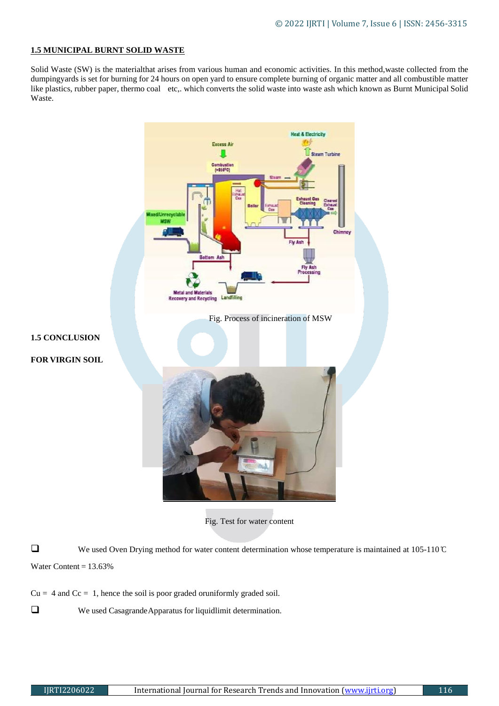# **1.5 MUNICIPAL BURNT SOLID WASTE**

Solid Waste (SW) is the materialthat arises from various human and economic activities. In this method,waste collected from the dumpingyards is set for burning for 24 hours on open yard to ensure complete burning of organic matter and all combustible matter like plastics, rubber paper, thermo coal etc,. which converts the solid waste into waste ash which known as Burnt Municipal Solid Waste.



We used Oven Drying method for water content determination whose temperature is maintained at 105-110 °C Water Content  $= 13.63\%$ 

- $Cu = 4$  and  $Cc = 1$ , hence the soil is poor graded oruniformly graded soil.
- We used CasagrandeApparatus for liquidlimit determination.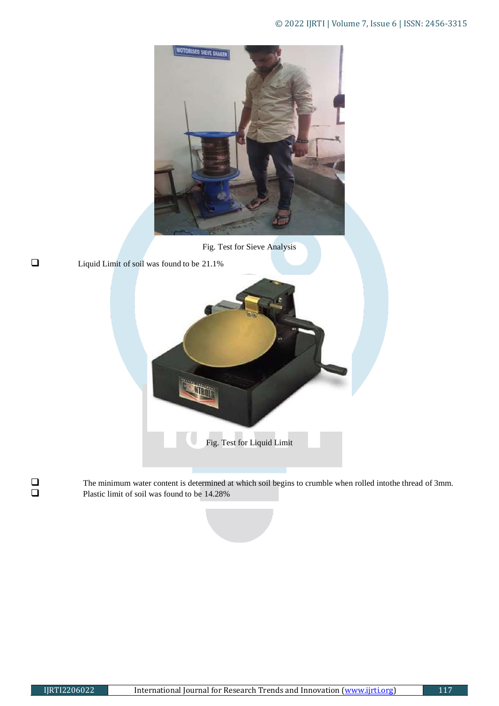

Fig. Test for Sieve Analysis

 $\Box$  Liquid Limit of soil was found to be 21.1%



The minimum water content is determined at which soil begins to crumble when rolled intothe thread of 3mm.<br>Plastic limit of soil was found to be 14.28% Plastic limit of soil was found to be 14.28%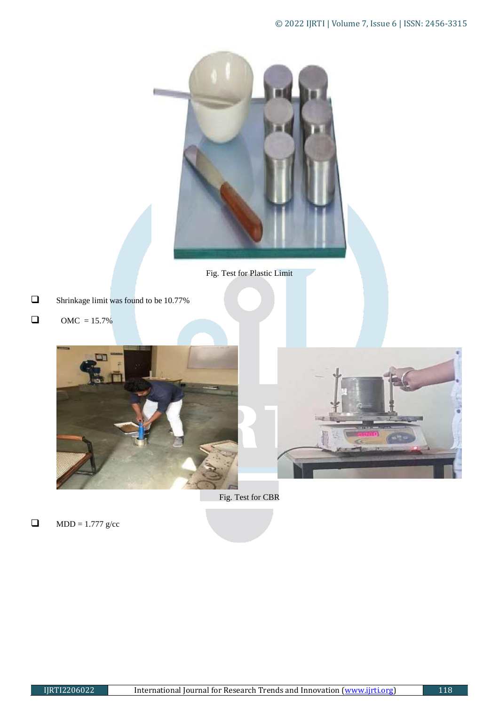

Fig. Test for Plastic Limit

- **Shrinkage limit was found to be 10.77%**
- **OMC** =  $15.7\%$





Fig. Test for CBR

 $\Box$  MDD = 1.777 g/cc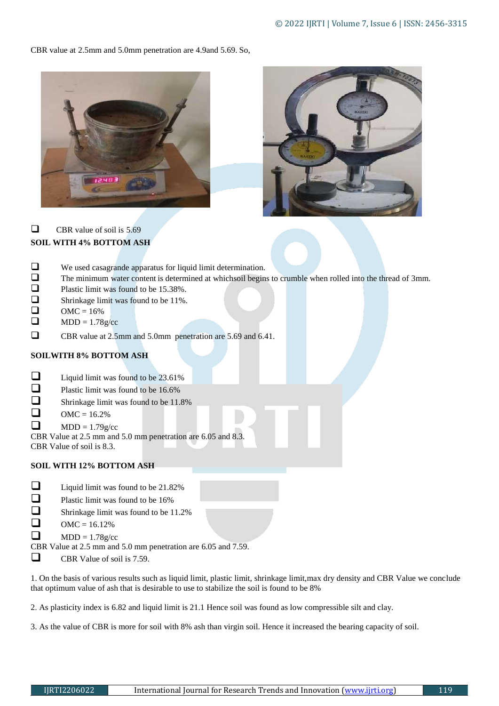CBR value at 2.5mm and 5.0mm penetration are 4.9and 5.69. So,





 $\Box$  CBR value of soil is 5.69 **SOIL WITH 4% BOTTOM ASH** 

|                                                              | We used casagrande apparatus for liquid limit determination.                                                |
|--------------------------------------------------------------|-------------------------------------------------------------------------------------------------------------|
| □                                                            | The minimum water content is determined at which soil begins to crumble when rolled into the thread of 3mm. |
|                                                              | Plastic limit was found to be 15.38%.                                                                       |
| ❏                                                            | Shrinkage limit was found to be 11%.                                                                        |
|                                                              | $\text{OMC} = 16\%$                                                                                         |
|                                                              | $MDD = 1.78g/cc$                                                                                            |
|                                                              | CBR value at 2.5mm and 5.0mm penetration are 5.69 and 6.41.                                                 |
| <b>SOILWITH 8% BOTTOM ASH</b>                                |                                                                                                             |
|                                                              | Liquid limit was found to be 23.61%                                                                         |
|                                                              | Plastic limit was found to be 16.6%                                                                         |
|                                                              | Shrinkage limit was found to be 11.8%                                                                       |
|                                                              | $OMC = 16.2%$                                                                                               |
|                                                              | $MDD = 1.79g/cc$                                                                                            |
| CBR Value at 2.5 mm and 5.0 mm penetration are 6.05 and 8.3. |                                                                                                             |

CBR Value of soil is 8.3.

# **SOIL WITH 12% BOTTOM ASH**

- **Liquid limit was found to be 21.82%**
- Plastic limit was found to be  $16\%$ <br>Shrinkage limit was found to be 1
- Shrinkage limit was found to be 11.2%
- $OMC = 16.12\%$
- $MDD = 1.78g/cc$
- CBR Value at 2.5 mm and 5.0 mm penetration are 6.05 and 7.59.
- $\Box$  CBR Value of soil is 7.59.

1. On the basis of various results such as liquid limit, plastic limit, shrinkage limit,max dry density and CBR Value we conclude that optimum value of ash that is desirable to use to stabilize the soil is found to be 8%

2. As plasticity index is 6.82 and liquid limit is 21.1 Hence soil was found as low compressible silt and clay.

3. As the value of CBR is more for soil with 8% ash than virgin soil. Hence it increased the bearing capacity of soil.